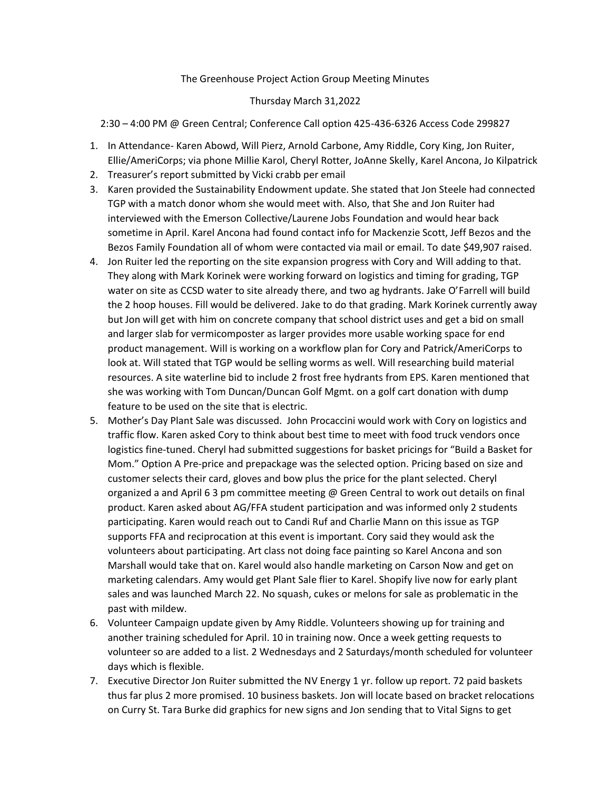## The Greenhouse Project Action Group Meeting Minutes

## Thursday March 31,2022

2:30 – 4:00 PM @ Green Central; Conference Call option 425-436-6326 Access Code 299827

- 1. In Attendance- Karen Abowd, Will Pierz, Arnold Carbone, Amy Riddle, Cory King, Jon Ruiter, Ellie/AmeriCorps; via phone Millie Karol, Cheryl Rotter, JoAnne Skelly, Karel Ancona, Jo Kilpatrick
- 2. Treasurer's report submitted by Vicki crabb per email
- 3. Karen provided the Sustainability Endowment update. She stated that Jon Steele had connected TGP with a match donor whom she would meet with. Also, that She and Jon Ruiter had interviewed with the Emerson Collective/Laurene Jobs Foundation and would hear back sometime in April. Karel Ancona had found contact info for Mackenzie Scott, Jeff Bezos and the Bezos Family Foundation all of whom were contacted via mail or email. To date \$49,907 raised.
- 4. Jon Ruiter led the reporting on the site expansion progress with Cory and Will adding to that. They along with Mark Korinek were working forward on logistics and timing for grading, TGP water on site as CCSD water to site already there, and two ag hydrants. Jake O'Farrell will build the 2 hoop houses. Fill would be delivered. Jake to do that grading. Mark Korinek currently away but Jon will get with him on concrete company that school district uses and get a bid on small and larger slab for vermicomposter as larger provides more usable working space for end product management. Will is working on a workflow plan for Cory and Patrick/AmeriCorps to look at. Will stated that TGP would be selling worms as well. Will researching build material resources. A site waterline bid to include 2 frost free hydrants from EPS. Karen mentioned that she was working with Tom Duncan/Duncan Golf Mgmt. on a golf cart donation with dump feature to be used on the site that is electric.
- 5. Mother's Day Plant Sale was discussed. John Procaccini would work with Cory on logistics and traffic flow. Karen asked Cory to think about best time to meet with food truck vendors once logistics fine-tuned. Cheryl had submitted suggestions for basket pricings for "Build a Basket for Mom." Option A Pre-price and prepackage was the selected option. Pricing based on size and customer selects their card, gloves and bow plus the price for the plant selected. Cheryl organized a and April 6 3 pm committee meeting @ Green Central to work out details on final product. Karen asked about AG/FFA student participation and was informed only 2 students participating. Karen would reach out to Candi Ruf and Charlie Mann on this issue as TGP supports FFA and reciprocation at this event is important. Cory said they would ask the volunteers about participating. Art class not doing face painting so Karel Ancona and son Marshall would take that on. Karel would also handle marketing on Carson Now and get on marketing calendars. Amy would get Plant Sale flier to Karel. Shopify live now for early plant sales and was launched March 22. No squash, cukes or melons for sale as problematic in the past with mildew.
- 6. Volunteer Campaign update given by Amy Riddle. Volunteers showing up for training and another training scheduled for April. 10 in training now. Once a week getting requests to volunteer so are added to a list. 2 Wednesdays and 2 Saturdays/month scheduled for volunteer days which is flexible.
- 7. Executive Director Jon Ruiter submitted the NV Energy 1 yr. follow up report. 72 paid baskets thus far plus 2 more promised. 10 business baskets. Jon will locate based on bracket relocations on Curry St. Tara Burke did graphics for new signs and Jon sending that to Vital Signs to get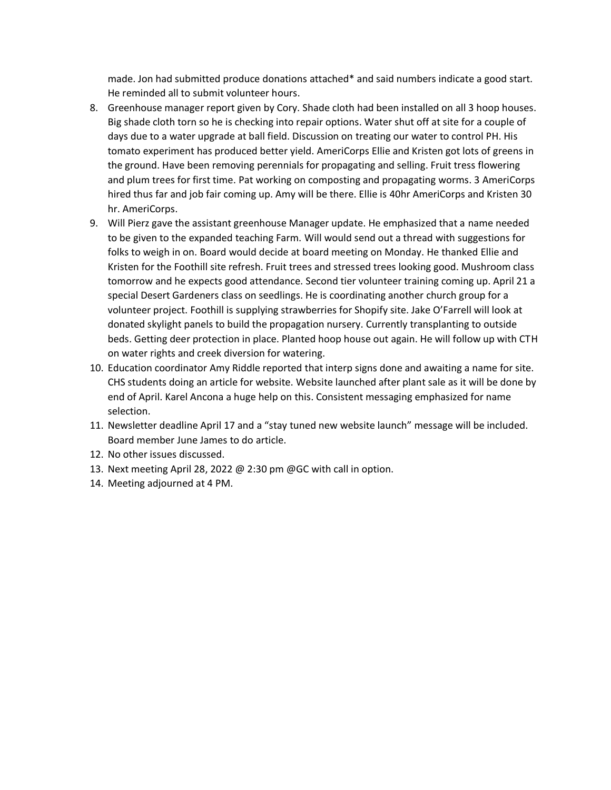made. Jon had submitted produce donations attached\* and said numbers indicate a good start. He reminded all to submit volunteer hours.

- 8. Greenhouse manager report given by Cory. Shade cloth had been installed on all 3 hoop houses. Big shade cloth torn so he is checking into repair options. Water shut off at site for a couple of days due to a water upgrade at ball field. Discussion on treating our water to control PH. His tomato experiment has produced better yield. AmeriCorps Ellie and Kristen got lots of greens in the ground. Have been removing perennials for propagating and selling. Fruit tress flowering and plum trees for first time. Pat working on composting and propagating worms. 3 AmeriCorps hired thus far and job fair coming up. Amy will be there. Ellie is 40hr AmeriCorps and Kristen 30 hr. AmeriCorps.
- 9. Will Pierz gave the assistant greenhouse Manager update. He emphasized that a name needed to be given to the expanded teaching Farm. Will would send out a thread with suggestions for folks to weigh in on. Board would decide at board meeting on Monday. He thanked Ellie and Kristen for the Foothill site refresh. Fruit trees and stressed trees looking good. Mushroom class tomorrow and he expects good attendance. Second tier volunteer training coming up. April 21 a special Desert Gardeners class on seedlings. He is coordinating another church group for a volunteer project. Foothill is supplying strawberries for Shopify site. Jake O'Farrell will look at donated skylight panels to build the propagation nursery. Currently transplanting to outside beds. Getting deer protection in place. Planted hoop house out again. He will follow up with CTH on water rights and creek diversion for watering.
- 10. Education coordinator Amy Riddle reported that interp signs done and awaiting a name for site. CHS students doing an article for website. Website launched after plant sale as it will be done by end of April. Karel Ancona a huge help on this. Consistent messaging emphasized for name selection.
- 11. Newsletter deadline April 17 and a "stay tuned new website launch" message will be included. Board member June James to do article.
- 12. No other issues discussed.
- 13. Next meeting April 28, 2022 @ 2:30 pm @GC with call in option.
- 14. Meeting adjourned at 4 PM.